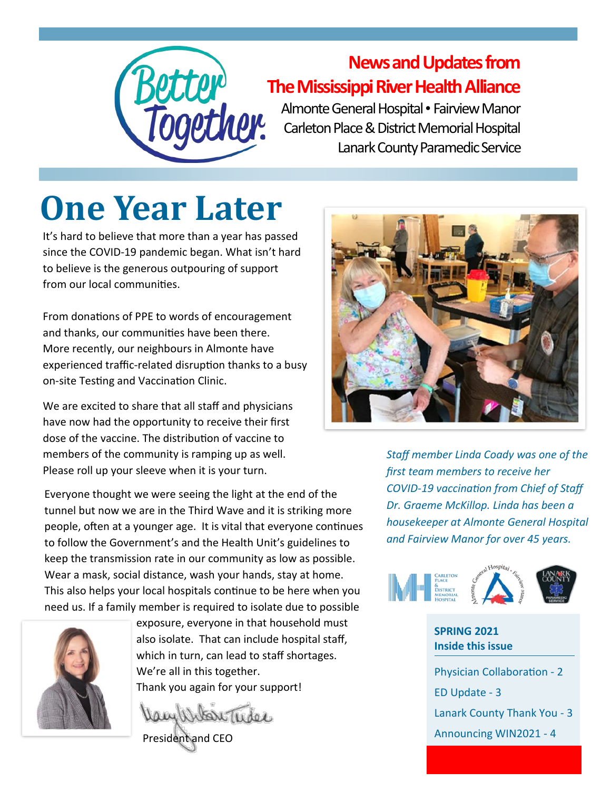

#### **News and Updates from The Mississippi River Health Alliance**

Almonte General Hospital • Fairview Manor Carleton Place & District Memorial Hospital Lanark County Paramedic Service

# **One Year Later**

It's hard to believe that more than a year has passed since the COVID-19 pandemic began. What isn't hard to believe is the generous outpouring of support from our local communities.

From donations of PPE to words of encouragement and thanks, our communities have been there. More recently, our neighbours in Almonte have experienced traffic-related disruption thanks to a busy on-site Testing and Vaccination Clinic.

We are excited to share that all staff and physicians have now had the opportunity to receive their first dose of the vaccine. The distribution of vaccine to members of the community is ramping up as well. Please roll up your sleeve when it is your turn.

Everyone thought we were seeing the light at the end of the tunnel but now we are in the Third Wave and it is striking more people, often at a younger age. It is vital that everyone continues to follow the Government's and the Health Unit's guidelines to keep the transmission rate in our community as low as possible. Wear a mask, social distance, wash your hands, stay at home. This also helps your local hospitals continue to be here when you need us. If a family member is required to isolate due to possible



exposure, everyone in that household must also isolate. That can include hospital staff, which in turn, can lead to staff shortages. We're all in this together. Thank you again for your support!

Vam Witon Tuder

President and CEO



*Staff member Linda Coady was one of the first team members to receive her COVID-19 vaccination from Chief of Staff Dr. Graeme McKillop. Linda has been a housekeeper at Almonte General Hospital and Fairview Manor for over 45 years.*



#### **SPRING 2021 Inside this issue**

Physician Collaboration - 2 ED Update - 3 Lanark County Thank You - 3 Announcing WIN2021 - 4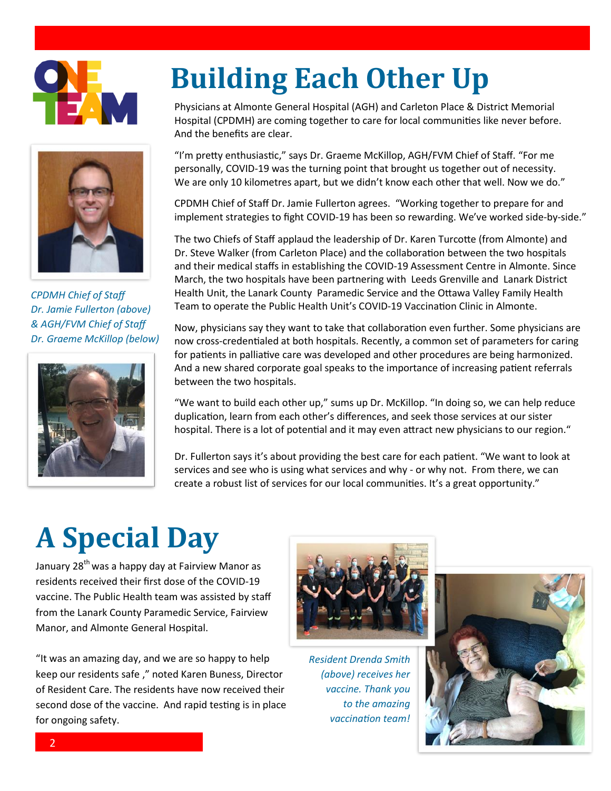



*CPDMH Chief of Staff Dr. Jamie Fullerton (above) & AGH/FVM Chief of Staff Dr. Graeme McKillop (below)*



# **Building Each Other Up**

Physicians at Almonte General Hospital (AGH) and Carleton Place & District Memorial Hospital (CPDMH) are coming together to care for local communities like never before. And the benefits are clear.

"I'm pretty enthusiastic," says Dr. Graeme McKillop, AGH/FVM Chief of Staff. "For me personally, COVID-19 was the turning point that brought us together out of necessity. We are only 10 kilometres apart, but we didn't know each other that well. Now we do."

CPDMH Chief of Staff Dr. Jamie Fullerton agrees. "Working together to prepare for and implement strategies to fight COVID-19 has been so rewarding. We've worked side-by-side."

The two Chiefs of Staff applaud the leadership of Dr. Karen Turcotte (from Almonte) and Dr. Steve Walker (from Carleton Place) and the collaboration between the two hospitals and their medical staffs in establishing the COVID-19 Assessment Centre in Almonte. Since March, the two hospitals have been partnering with Leeds Grenville and Lanark District Health Unit, the Lanark County Paramedic Service and the Ottawa Valley Family Health Team to operate the Public Health Unit's COVID-19 Vaccination Clinic in Almonte.

Now, physicians say they want to take that collaboration even further. Some physicians are now cross-credentialed at both hospitals. Recently, a common set of parameters for caring for patients in palliative care was developed and other procedures are being harmonized. And a new shared corporate goal speaks to the importance of increasing patient referrals between the two hospitals.

"We want to build each other up," sums up Dr. McKillop. "In doing so, we can help reduce duplication, learn from each other's differences, and seek those services at our sister hospital. There is a lot of potential and it may even attract new physicians to our region."

Dr. Fullerton says it's about providing the best care for each patient. "We want to look at services and see who is using what services and why - or why not. From there, we can create a robust list of services for our local communities. It's a great opportunity."

## **A Special Day**

January 28<sup>th</sup> was a happy day at Fairview Manor as residents received their first dose of the COVID-19 vaccine. The Public Health team was assisted by staff from the Lanark County Paramedic Service, Fairview Manor, and Almonte General Hospital.

"It was an amazing day, and we are so happy to help keep our residents safe ," noted Karen Buness, Director of Resident Care. The residents have now received their second dose of the vaccine. And rapid testing is in place for ongoing safety.



*Resident Drenda Smith (above) receives her vaccine. Thank you to the amazing vaccination team!*

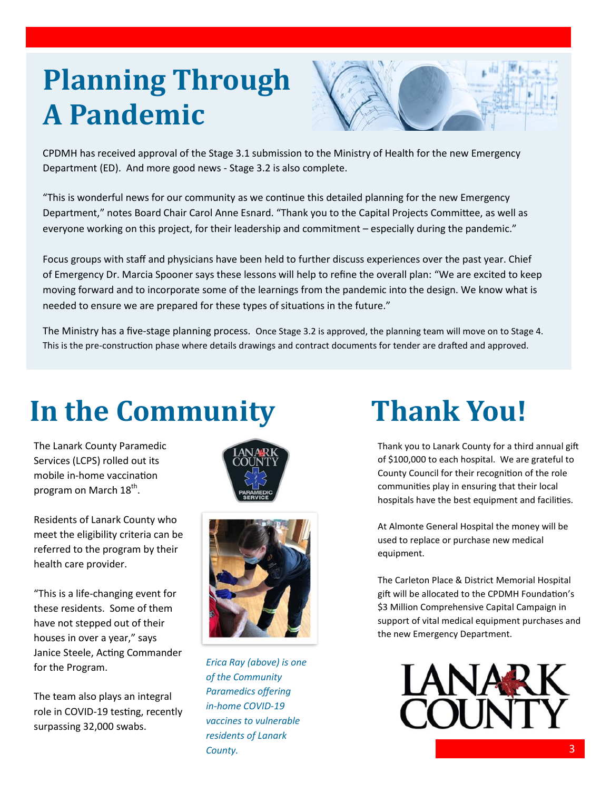#### **Planning Through A Pandemic**



CPDMH has received approval of the Stage 3.1 submission to the Ministry of Health for the new Emergency Department (ED). And more good news - Stage 3.2 is also complete.

"This is wonderful news for our community as we continue this detailed planning for the new Emergency Department," notes Board Chair Carol Anne Esnard. "Thank you to the Capital Projects Committee, as well as everyone working on this project, for their leadership and commitment – especially during the pandemic."

Focus groups with staff and physicians have been held to further discuss experiences over the past year. Chief of Emergency Dr. Marcia Spooner says these lessons will help to refine the overall plan: "We are excited to keep moving forward and to incorporate some of the learnings from the pandemic into the design. We know what is needed to ensure we are prepared for these types of situations in the future."

The Ministry has a five-stage planning process. Once Stage 3.2 is approved, the planning team will move on to Stage 4. This is the pre-construction phase where details drawings and contract documents for tender are drafted and approved.

## **In the Community**

The Lanark County Paramedic Services (LCPS) rolled out its mobile in-home vaccination program on March 18<sup>th</sup>.

Residents of Lanark County who meet the eligibility criteria can be referred to the program by their health care provider.

"This is a life-changing event for these residents. Some of them have not stepped out of their houses in over a year," says Janice Steele, Acting Commander for the Program.

The team also plays an integral role in COVID-19 testing, recently surpassing 32,000 swabs.





*Erica Ray (above) is one of the Community Paramedics offering in-home COVID-19 vaccines to vulnerable residents of Lanark County.*

## **Thank You!**

Thank you to Lanark County for a third annual gift of \$100,000 to each hospital. We are grateful to County Council for their recognition of the role communities play in ensuring that their local hospitals have the best equipment and facilities.

At Almonte General Hospital the money will be used to replace or purchase new medical equipment.

The Carleton Place & District Memorial Hospital gift will be allocated to the CPDMH Foundation's \$3 Million Comprehensive Capital Campaign in support of vital medical equipment purchases and the new Emergency Department.